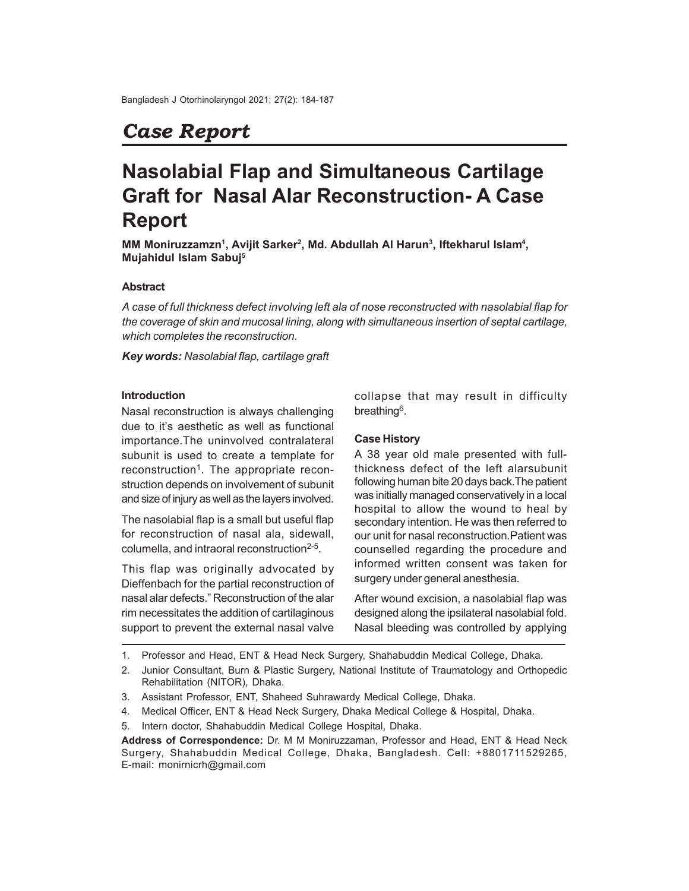## *Case Report*

# **Nasolabial Flap and Simultaneous Cartilage Graft for Nasal Alar Reconstruction- A Case Report**

**MM Moniruzzamzn<sup>1</sup> , Avijit Sarker<sup>2</sup> , Md. Abdullah Al Harun<sup>3</sup> , Iftekharul Islam<sup>4</sup> , Mujahidul Islam Sabuj<sup>5</sup>**

#### **Abstract**

*A case of full thickness defect involving left ala of nose reconstructed with nasolabial flap for the coverage of skin and mucosal lining, along with simultaneous insertion of septal cartilage, which completes the reconstruction.*

*Key words: Nasolabial flap, cartilage graft*

#### **Introduction**

Nasal reconstruction is always challenging due to it's aesthetic as well as functional importance.The uninvolved contralateral subunit is used to create a template for reconstruction<sup>1</sup>. The appropriate reconstruction depends on involvement of subunit and size of injury as well as the layers involved.

The nasolabial flap is a small but useful flap for reconstruction of nasal ala, sidewall, columella, and intraoral reconstruction<sup>2-5</sup>.

This flap was originally advocated by Dieffenbach for the partial reconstruction of nasal alar defects." Reconstruction of the alar rim necessitates the addition of cartilaginous support to prevent the external nasal valve

collapse that may result in difficulty breathing<sup>6</sup>.

#### **Case History**

A 38 year old male presented with fullthickness defect of the left alarsubunit following human bite 20 days back.The patient was initially managed conservatively in a local hospital to allow the wound to heal by secondary intention. He was then referred to our unit for nasal reconstruction.Patient was counselled regarding the procedure and informed written consent was taken for surgery under general anesthesia.

After wound excision, a nasolabial flap was designed along the ipsilateral nasolabial fold. Nasal bleeding was controlled by applying

1. Professor and Head, ENT & Head Neck Surgery, Shahabuddin Medical College, Dhaka.

- 3. Assistant Professor, ENT, Shaheed Suhrawardy Medical College, Dhaka.
- 4. Medical Officer, ENT & Head Neck Surgery, Dhaka Medical College & Hospital, Dhaka.
- 5. Intern doctor, Shahabuddin Medical College Hospital, Dhaka.

<sup>2.</sup> Junior Consultant, Burn & Plastic Surgery, National Institute of Traumatology and Orthopedic Rehabilitation (NITOR), Dhaka.

**Address of Correspondence:** Dr. M M Moniruzzaman, Professor and Head, ENT & Head Neck Surgery, Shahabuddin Medical College, Dhaka, Bangladesh. Cell: +8801711529265, E-mail: monirnicrh@gmail.com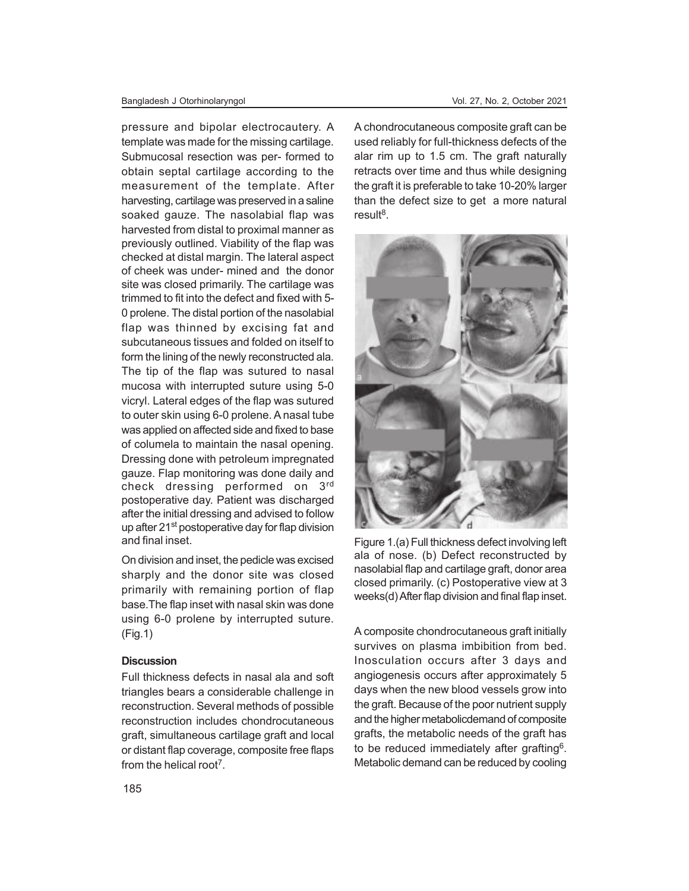#### Bangladesh J Otorhinolaryngol Vol. 27, No. 2, October 2021

pressure and bipolar electrocautery. A template was made for the missing cartilage. Submucosal resection was per- formed to obtain septal cartilage according to the measurement of the template. After harvesting, cartilage was preserved in a saline soaked gauze. The nasolabial flap was harvested from distal to proximal manner as previously outlined. Viability of the flap was checked at distal margin. The lateral aspect of cheek was under- mined and the donor site was closed primarily. The cartilage was trimmed to fit into the defect and fixed with 5- 0 prolene. The distal portion of the nasolabial flap was thinned by excising fat and subcutaneous tissues and folded on itself to form the lining of the newly reconstructed ala. The tip of the flap was sutured to nasal mucosa with interrupted suture using 5-0 vicryl. Lateral edges of the flap was sutured to outer skin using 6-0 prolene. A nasal tube was applied on affected side and fixed to base of columela to maintain the nasal opening. Dressing done with petroleum impregnated gauze. Flap monitoring was done daily and check dressing performed on 3rd postoperative day. Patient was discharged after the initial dressing and advised to follow up after 21<sup>st</sup> postoperative day for flap division and final inset.

On division and inset, the pedicle was excised sharply and the donor site was closed primarily with remaining portion of flap base.The flap inset with nasal skin was done using 6-0 prolene by interrupted suture. (Fig.1)

#### **Discussion**

Full thickness defects in nasal ala and soft triangles bears a considerable challenge in reconstruction. Several methods of possible reconstruction includes chondrocutaneous graft, simultaneous cartilage graft and local or distant flap coverage, composite free flaps from the helical root<sup>7</sup>.

A chondrocutaneous composite graft can be used reliably for full-thickness defects of the alar rim up to 1.5 cm. The graft naturally retracts over time and thus while designing the graft it is preferable to take 10-20% larger than the defect size to get a more natural result<sup>8</sup>.



Figure 1.(a) Full thickness defect involving left ala of nose. (b) Defect reconstructed by nasolabial flap and cartilage graft, donor area closed primarily. (c) Postoperative view at 3 weeks(d) After flap division and final flap inset.

A composite chondrocutaneous graft initially survives on plasma imbibition from bed. Inosculation occurs after 3 days and angiogenesis occurs after approximately 5 days when the new blood vessels grow into the graft. Because of the poor nutrient supply and the higher metabolicdemand of composite grafts, the metabolic needs of the graft has to be reduced immediately after grafting<sup>6</sup>. Metabolic demand can be reduced by cooling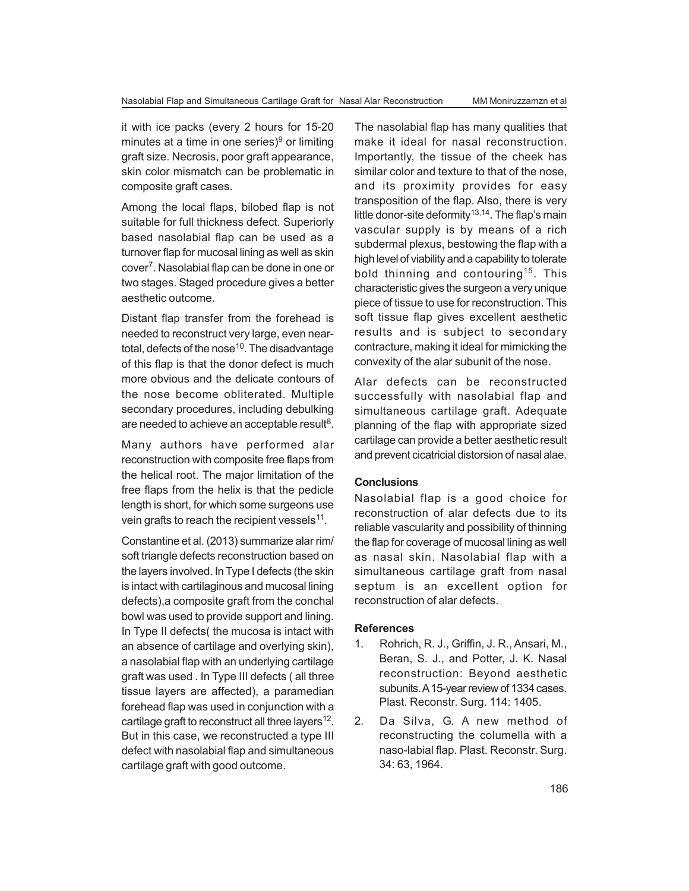it with ice packs (every 2 hours for 15-20 minutes at a time in one series) $^9$  or limiting graft size. Necrosis, poor graft appearance, skin color mismatch can be problematic in composite graft cases.

Among the local flaps, bilobed flap is not suitable for full thickness defect. Superiorly based nasolabial flap can be used as a turnover flap for mucosal lining as well as skin cover<sup>7</sup>. Nasolabial flap can be done in one or two stages. Staged procedure gives a better aesthetic outcome.

Distant flap transfer from the forehead is needed to reconstruct very large, even neartotal, defects of the nose $10$ . The disadvantage of this flap is that the donor defect is much more obvious and the delicate contours of the nose become obliterated. Multiple secondary procedures, including debulking are needed to achieve an acceptable result $^8$ .

Many authors have performed alar reconstruction with composite free flaps from the helical root. The major limitation of the free flaps from the helix is that the pedicle length is short, for which some surgeons use vein grafts to reach the recipient vessels $^{11}$ .

Constantine et al. (2013) summarize alar rim/ soft triangle defects reconstruction based on the layers involved. In Type I defects (the skin is intact with cartilaginous and mucosal lining defects),a composite graft from the conchal bowl was used to provide support and lining. In Type II defects( the mucosa is intact with an absence of cartilage and overlying skin), a nasolabial flap with an underlying cartilage graft was used . In Type III defects ( all three tissue layers are affected), a paramedian forehead flap was used in conjunction with a cartilage graft to reconstruct all three layers $12$ . But in this case, we reconstructed a type III defect with nasolabial flap and simultaneous cartilage graft with good outcome.

The nasolabial flap has many qualities that make it ideal for nasal reconstruction. Importantly, the tissue of the cheek has similar color and texture to that of the nose, and its proximity provides for easy transposition of the flap. Also, there is very little donor-site deformity<sup>13,14</sup>. The flap's main vascular supply is by means of a rich subdermal plexus, bestowing the flap with a high level of viability and a capability to tolerate bold thinning and contouring<sup>15</sup>. This characteristic gives the surgeon a very unique piece of tissue to use for reconstruction. This soft tissue flap gives excellent aesthetic results and is subject to secondary contracture, making it ideal for mimicking the convexity of the alar subunit of the nose.

Alar defects can be reconstructed successfully with nasolabial flap and simultaneous cartilage graft. Adequate planning of the flap with appropriate sized cartilage can provide a better aesthetic result and prevent cicatricial distorsion of nasal alae.

### **Conclusions**

Nasolabial flap is a good choice for reconstruction of alar defects due to its reliable vascularity and possibility of thinning the flap for coverage of mucosal lining as well as nasal skin. Nasolabial flap with a simultaneous cartilage graft from nasal septum is an excellent option for reconstruction of alar defects.

#### **References**

- 1. Rohrich, R. J., Griffin, J. R., Ansari, M., Beran, S. J., and Potter, J. K. Nasal reconstruction: Beyond aesthetic subunits. A 15-year review of 1334 cases. Plast. Reconstr. Surg. 114: 1405.
- 2. Da Silva, G. A new method of reconstructing the columella with a naso-labial flap. Plast. Reconstr. Surg. 34: 63, 1964.